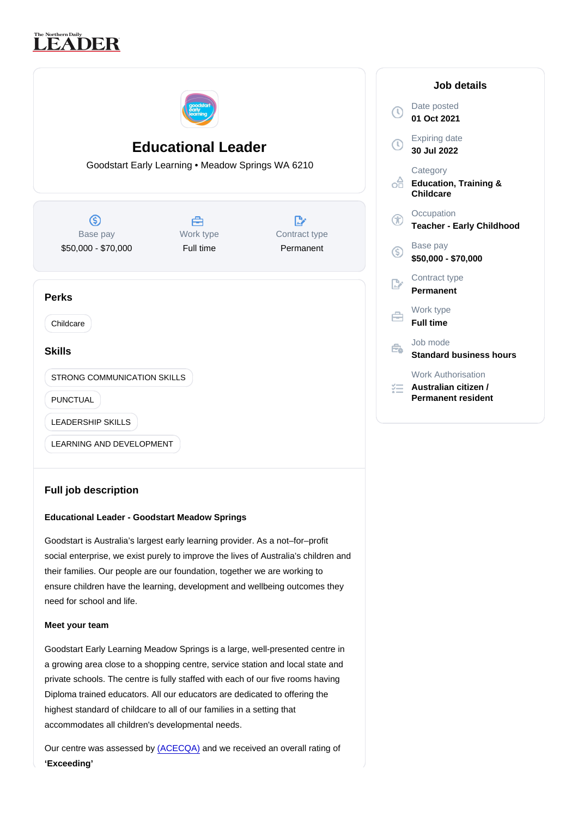# Educational Leader

Goodstart Early Learning • Meadow Springs WA 6210

| Base pay            | Work type | Contract type |
|---------------------|-----------|---------------|
| \$50,000 - \$70,000 | Full time | Permanent     |

## Perks

Childcare

## Skills

STRONG COMMUNICATION SKILLS

PUNCTUAL

LEADERSHIP SKILLS

LEARNING AND DEVELOPMENT

## Full job description

Educational Leader - Goodstart Meadow Springs

Goodstart is Australia's largest early learning provider. As a not–for–profit social enterprise, we exist purely to improve the lives of Australia's children and their families. Our people are our foundation, together we are working to ensure children have the learning, development and wellbeing outcomes they need for school and life.

## Meet your team

Goodstart Early Learning Meadow Springs is a large, well-presented centre in a growing area close to a shopping centre, service station and local state and private schools. The centre is fully staffed with each of our five rooms having Diploma trained educators. All our educators are dedicated to offering the highest standard of childcare to all of our families in a setting that accommodates all children's developmental needs.

Our centre was assessed by [\(ACECQA\)](https://www.startingblocks.gov.au/at-child-care/child-care-ratings/) and we received an overall rating of 'Exceeding'

#### Job details

Date posted 01 Oct 2021

Expiring date 30 Jul 2022

**Category** Education, Training & **Childcare** 

**Occupation** Teacher - Early Childhood

Base pay \$50,000 - \$70,000

Contract type Permanent

Work type Full time

Job mode Standard business hours

Work Authorisation

Australian citizen / Permanent resident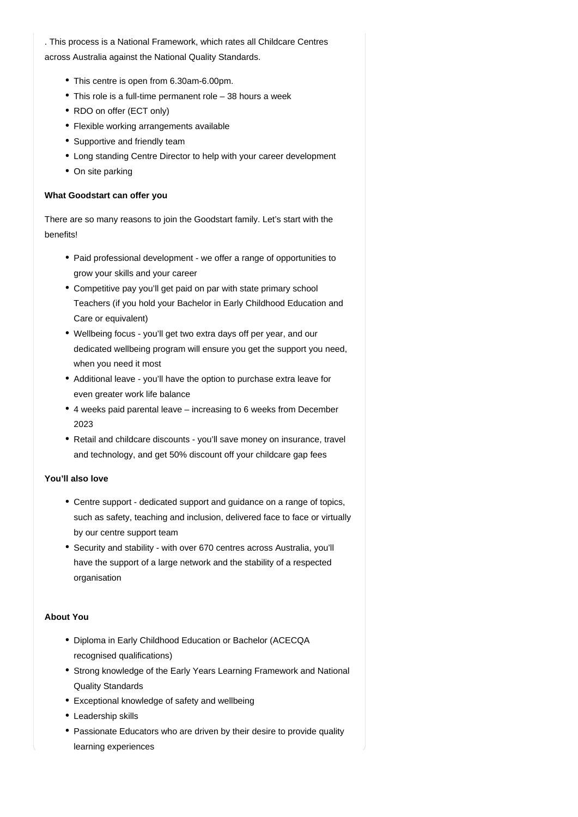. This process is a National Framework, which rates all Childcare Centres across Australia against the National Quality Standards.

- This centre is open from 6.30am-6.00pm.
- This role is a full-time permanent role 38 hours a week
- RDO on offer (ECT only)
- Flexible working arrangements available
- Supportive and friendly team
- Long standing Centre Director to help with your career development
- On site parking

#### **What Goodstart can offer you**

There are so many reasons to join the Goodstart family. Let's start with the benefits!

- Paid professional development we offer a range of opportunities to grow your skills and your career
- Competitive pay you'll get paid on par with state primary school Teachers (if you hold your Bachelor in Early Childhood Education and Care or equivalent)
- Wellbeing focus you'll get two extra days off per year, and our dedicated wellbeing program will ensure you get the support you need, when you need it most
- Additional leave you'll have the option to purchase extra leave for even greater work life balance
- 4 weeks paid parental leave increasing to 6 weeks from December 2023
- Retail and childcare discounts you'll save money on insurance, travel and technology, and get 50% discount off your childcare gap fees

#### **You'll also love**

- Centre support dedicated support and guidance on a range of topics, such as safety, teaching and inclusion, delivered face to face or virtually by our centre support team
- Security and stability with over 670 centres across Australia, you'll have the support of a large network and the stability of a respected organisation

## **About You**

- Diploma in Early Childhood Education or Bachelor (ACECQA recognised qualifications)
- Strong knowledge of the Early Years Learning Framework and National Quality Standards
- Exceptional knowledge of safety and wellbeing
- Leadership skills
- Passionate Educators who are driven by their desire to provide quality learning experiences